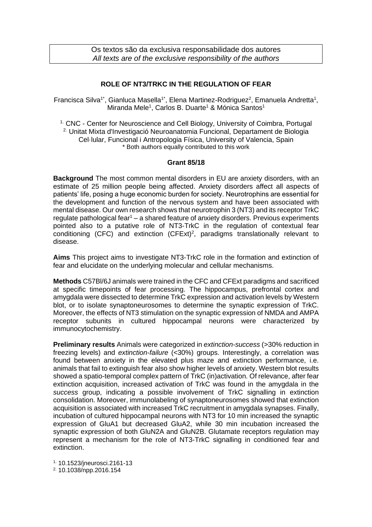Os textos são da exclusiva responsabilidade dos autores *All texts are of the exclusive responsibility of the authors*

## **ROLE OF NT3/TRKC IN THE REGULATION OF FEAR**

Francisca Silva<sup>1\*</sup>, Gianluca Masella<sup>1\*</sup>, Elena Martinez-Rodriguez<sup>2</sup>, Emanuela Andretta<sup>1</sup>, Miranda Mele<sup>1</sup>, Carlos B. Duarte<sup>1</sup> & Mónica Santos<sup>1</sup>

<sup>1.</sup> CNC - Center for Neuroscience and Cell Biology, University of Coimbra, Portugal 2. Unitat Mixta d'Investigació Neuroanatomia Funcional, Departament de Biologia Cel·lular, Funcional i Antropologia Física, University of Valencia, Spain \* Both authors equally contributed to this work

## **Grant 85/18**

**Background** The most common mental disorders in EU are anxiety disorders, with an estimate of 25 million people being affected. Anxiety disorders affect all aspects of patients' life, posing a huge economic burden for society. Neurotrophins are essential for the development and function of the nervous system and have been associated with mental disease. Our own research shows that neurotrophin 3 (NT3) and its receptor TrkC regulate pathological fear<sup>1</sup> – a shared feature of anxiety disorders. Previous experiments pointed also to a putative role of NT3-TrkC in the regulation of contextual fear conditioning (CFC) and extinction  $(CFExt)^2$ , paradigms translationally relevant to disease.

**Aims** This project aims to investigate NT3-TrkC role in the formation and extinction of fear and elucidate on the underlying molecular and cellular mechanisms.

**Methods** C57Bl/6J animals were trained in the CFC and CFExt paradigms and sacrificed at specific timepoints of fear processing. The hippocampus, prefrontal cortex and amygdala were dissected to determine TrkC expression and activation levels by Western blot, or to isolate synaptoneurosomes to determine the synaptic expression of TrkC. Moreover, the effects of NT3 stimulation on the synaptic expression of NMDA and AMPA receptor subunits in cultured hippocampal neurons were characterized by immunocytochemistry.

**Preliminary results** Animals were categorized in *extinction-success* (>30% reduction in freezing levels) and *extinction-failure* (<30%) groups. Interestingly, a correlation was found between anxiety in the elevated plus maze and extinction performance, i.e. animals that fail to extinguish fear also show higher levels of anxiety. Western blot results showed a spatio-temporal complex pattern of TrkC (in)activation. Of relevance, after fear extinction acquisition, increased activation of TrkC was found in the amygdala in the *success* group, indicating a possible involvement of TrkC signalling in extinction consolidation. Moreover, immunolabeling of synaptoneurosomes showed that extinction acquisition is associated with increased TrkC recruitment in amygdala synapses. Finally, incubation of cultured hippocampal neurons with NT3 for 10 min increased the synaptic expression of GluA1 but decreased GluA2, while 30 min incubation increased the synaptic expression of both GluN2A and GluN2B. Glutamate receptors regulation may represent a mechanism for the role of NT3-TrkC signalling in conditioned fear and extinction.

1. 10.1523/jneurosci.2161-13

2. 10.1038/npp.2016.154